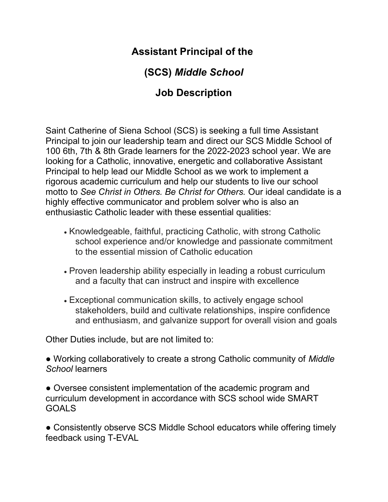## Assistant Principal of the

## (SCS) Middle School

## Job Description

Saint Catherine of Siena School (SCS) is seeking a full time Assistant Principal to join our leadership team and direct our SCS Middle School of 100 6th, 7th & 8th Grade learners for the 2022-2023 school year. We are looking for a Catholic, innovative, energetic and collaborative Assistant Principal to help lead our Middle School as we work to implement a rigorous academic curriculum and help our students to live our school motto to See Christ in Others. Be Christ for Others. Our ideal candidate is a highly effective communicator and problem solver who is also an enthusiastic Catholic leader with these essential qualities:

- Knowledgeable, faithful, practicing Catholic, with strong Catholic school experience and/or knowledge and passionate commitment to the essential mission of Catholic education
- Proven leadership ability especially in leading a robust curriculum and a faculty that can instruct and inspire with excellence
- Exceptional communication skills, to actively engage school stakeholders, build and cultivate relationships, inspire confidence and enthusiasm, and galvanize support for overall vision and goals

Other Duties include, but are not limited to:

• Working collaboratively to create a strong Catholic community of *Middle* School learners

• Oversee consistent implementation of the academic program and curriculum development in accordance with SCS school wide SMART GOALS

• Consistently observe SCS Middle School educators while offering timely feedback using T-EVAL